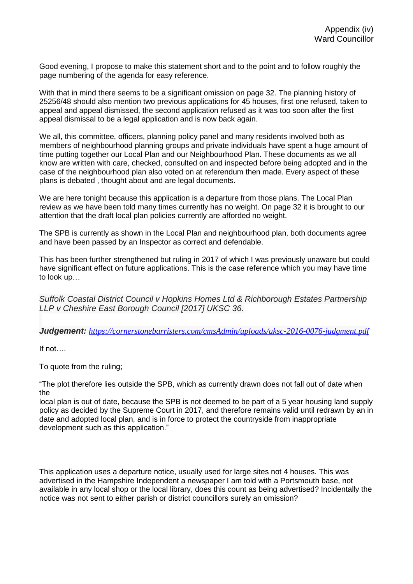Good evening, I propose to make this statement short and to the point and to follow roughly the page numbering of the agenda for easy reference.

With that in mind there seems to be a significant omission on page 32. The planning history of 25256/48 should also mention two previous applications for 45 houses, first one refused, taken to appeal and appeal dismissed, the second application refused as it was too soon after the first appeal dismissal to be a legal application and is now back again.

We all, this committee, officers, planning policy panel and many residents involved both as members of neighbourhood planning groups and private individuals have spent a huge amount of time putting together our Local Plan and our Neighbourhood Plan. These documents as we all know are written with care, checked, consulted on and inspected before being adopted and in the case of the neighbourhood plan also voted on at referendum then made. Every aspect of these plans is debated , thought about and are legal documents.

We are here tonight because this application is a departure from those plans. The Local Plan review as we have been told many times currently has no weight. On page 32 it is brought to our attention that the draft local plan policies currently are afforded no weight.

The SPB is currently as shown in the Local Plan and neighbourhood plan, both documents agree and have been passed by an Inspector as correct and defendable.

This has been further strengthened but ruling in 2017 of which I was previously unaware but could have significant effect on future applications. This is the case reference which you may have time to look up…

*Suffolk Coastal District Council v Hopkins Homes Ltd & Richborough Estates Partnership LLP v Cheshire East Borough Council [2017] UKSC 36.*

*Judgement: <https://cornerstonebarristers.com/cmsAdmin/uploads/uksc-2016-0076-judgment.pdf>*

If not….

To quote from the ruling;

"The plot therefore lies outside the SPB, which as currently drawn does not fall out of date when the

local plan is out of date, because the SPB is not deemed to be part of a 5 year housing land supply policy as decided by the Supreme Court in 2017, and therefore remains valid until redrawn by an in date and adopted local plan, and is in force to protect the countryside from inappropriate development such as this application."

This application uses a departure notice, usually used for large sites not 4 houses. This was advertised in the Hampshire Independent a newspaper I am told with a Portsmouth base, not available in any local shop or the local library, does this count as being advertised? Incidentally the notice was not sent to either parish or district councillors surely an omission?